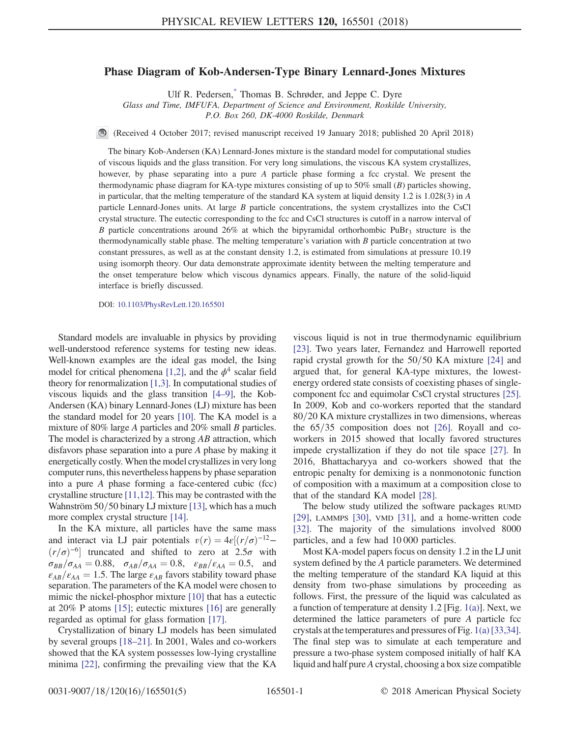## <span id="page-0-0"></span>Phase Diagram of Kob-Andersen-Type Binary Lennard-Jones Mixtures

Ulf R. Pedersen,[\\*](#page-4-0) Thomas B. Schrøder, and Jeppe C. Dyre

Glass and Time, IMFUFA, Department of Science and Environment, Roskilde University,

P.O. Box 260, DK-4000 Roskilde, Denmark

(Received 4 October 2017; revised manuscript received 19 January 2018; published 20 April 2018)

The binary Kob-Andersen (KA) Lennard-Jones mixture is the standard model for computational studies of viscous liquids and the glass transition. For very long simulations, the viscous KA system crystallizes, however, by phase separating into a pure A particle phase forming a fcc crystal. We present the thermodynamic phase diagram for KA-type mixtures consisting of up to  $50\%$  small (B) particles showing, in particular, that the melting temperature of the standard KA system at liquid density 1.2 is 1.028(3) in A particle Lennard-Jones units. At large B particle concentrations, the system crystallizes into the CsCl crystal structure. The eutectic corresponding to the fcc and CsCl structures is cutoff in a narrow interval of B particle concentrations around 26% at which the bipyramidal orthorhombic PuBr<sub>3</sub> structure is the thermodynamically stable phase. The melting temperature's variation with  $B$  particle concentration at two constant pressures, as well as at the constant density 1.2, is estimated from simulations at pressure 10.19 using isomorph theory. Our data demonstrate approximate identity between the melting temperature and the onset temperature below which viscous dynamics appears. Finally, the nature of the solid-liquid interface is briefly discussed.

DOI: [10.1103/PhysRevLett.120.165501](https://doi.org/10.1103/PhysRevLett.120.165501)

Standard models are invaluable in physics by providing well-understood reference systems for testing new ideas. Well-known examples are the ideal gas model, the Ising model for critical phenomena [\[1,2\],](#page-4-1) and the  $\phi^4$  scalar field theory for renormalization [\[1,3\].](#page-4-1) In computational studies of viscous liquids and the glass transition [\[4](#page-4-2)–9], the Kob-Andersen (KA) binary Lennard-Jones (LJ) mixture has been the standard model for 20 years [\[10\].](#page-4-3) The KA model is a mixture of 80% large A particles and 20% small B particles. The model is characterized by a strong  $AB$  attraction, which disfavors phase separation into a pure A phase by making it energetically costly. When the model crystallizes in very long computer runs, this nevertheless happens by phase separation into a pure A phase forming a face-centered cubic (fcc) crystalline structure [\[11,12\].](#page-4-4) This may be contrasted with the Wahnström  $50/50$  binary LJ mixture [\[13\]](#page-4-5), which has a much more complex crystal structure [\[14\].](#page-4-6)

In the KA mixture, all particles have the same mass and interact via LJ pair potentials  $v(r) = 4\varepsilon[(r/\sigma)^{-12} (r/\sigma)^{-6}$ ] truncated and shifted to zero at 2.5 $\sigma$  with  $\sigma_{BB}/\sigma_{AA} = 0.88$ ,  $\sigma_{AB}/\sigma_{AA} = 0.8$ ,  $\varepsilon_{BB}/\varepsilon_{AA} = 0.5$ , and  $\varepsilon_{AB}/\varepsilon_{AA} = 1.5$ . The large  $\varepsilon_{AB}$  favors stability toward phase separation. The parameters of the KA model were chosen to mimic the nickel-phosphor mixture [\[10\]](#page-4-3) that has a eutectic at 20% P atoms [\[15\]](#page-4-7); eutectic mixtures [\[16\]](#page-4-8) are generally regarded as optimal for glass formation [\[17\]](#page-4-9).

Crystallization of binary LJ models has been simulated by several groups [\[18](#page-4-10)–21]. In 2001, Wales and co-workers showed that the KA system possesses low-lying crystalline minima [\[22\],](#page-4-11) confirming the prevailing view that the KA viscous liquid is not in true thermodynamic equilibrium [\[23\]](#page-4-12). Two years later, Fernandez and Harrowell reported rapid crystal growth for the  $50/50$  KA mixture [\[24\]](#page-4-13) and argued that, for general KA-type mixtures, the lowestenergy ordered state consists of coexisting phases of singlecomponent fcc and equimolar CsCl crystal structures [\[25\]](#page-4-14). In 2009, Kob and co-workers reported that the standard 80/20 KA mixture crystallizes in two dimensions, whereas the  $65/35$  composition does not [\[26\].](#page-4-15) Royall and coworkers in 2015 showed that locally favored structures impede crystallization if they do not tile space [\[27\].](#page-4-16) In 2016, Bhattacharyya and co-workers showed that the entropic penalty for demixing is a nonmonotonic function of composition with a maximum at a composition close to that of the standard KA model [\[28\]](#page-4-17).

The below study utilized the software packages RUMD [\[29\]](#page-4-18), LAMMPS [\[30\]](#page-4-19), VMD [\[31\],](#page-4-20) and a home-written code [\[32\]](#page-4-21). The majority of the simulations involved 8000 particles, and a few had 10 000 particles.

Most KA-model papers focus on density 1.2 in the LJ unit system defined by the A particle parameters. We determined the melting temperature of the standard KA liquid at this density from two-phase simulations by proceeding as follows. First, the pressure of the liquid was calculated as a function of temperature at density 1.2 [Fig. [1\(a\)](#page-1-0)]. Next, we determined the lattice parameters of pure A particle fcc crystals at the temperatures and pressures of Fig. [1\(a\)](#page-1-0) [\[33,34\]](#page-4-22). The final step was to simulate at each temperature and pressure a two-phase system composed initially of half KA liquid and half pure A crystal, choosing a box size compatible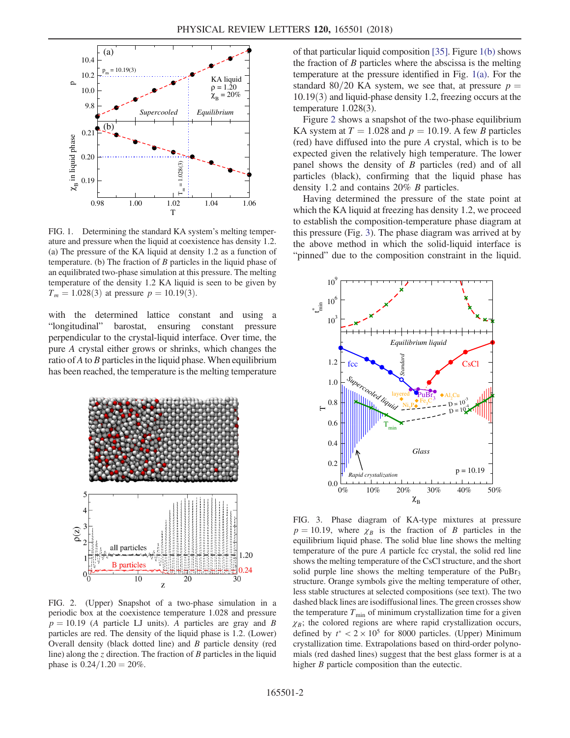<span id="page-1-0"></span>

FIG. 1. Determining the standard KA system's melting temperature and pressure when the liquid at coexistence has density 1.2. (a) The pressure of the KA liquid at density 1.2 as a function of temperature. (b) The fraction of  $B$  particles in the liquid phase of an equilibrated two-phase simulation at this pressure. The melting temperature of the density 1.2 KA liquid is seen to be given by  $T_m = 1.028(3)$  at pressure  $p = 10.19(3)$ .

with the determined lattice constant and using a "longitudinal" barostat, ensuring constant pressure perpendicular to the crystal-liquid interface. Over time, the pure A crystal either grows or shrinks, which changes the ratio of  $A$  to  $B$  particles in the liquid phase. When equilibrium has been reached, the temperature is the melting temperature

<span id="page-1-1"></span>

FIG. 2. (Upper) Snapshot of a two-phase simulation in a periodic box at the coexistence temperature 1.028 and pressure  $p = 10.19$  (A particle LJ units). A particles are gray and B particles are red. The density of the liquid phase is 1.2. (Lower) Overall density (black dotted line) and B particle density (red line) along the  $z$  direction. The fraction of  $B$  particles in the liquid phase is  $0.24/1.20 = 20\%$ .

of that particular liquid composition [\[35\]](#page-4-23). Figure [1\(b\)](#page-1-0) shows the fraction of  $B$  particles where the abscissa is the melting temperature at the pressure identified in Fig. [1\(a\)](#page-1-0). For the standard 80/20 KA system, we see that, at pressure  $p =$  $10.19(3)$  and liquid-phase density 1.2, freezing occurs at the temperature 1.028(3).

Figure [2](#page-1-1) shows a snapshot of the two-phase equilibrium KA system at  $T = 1.028$  and  $p = 10.19$ . A few B particles (red) have diffused into the pure A crystal, which is to be expected given the relatively high temperature. The lower panel shows the density of B particles (red) and of all particles (black), confirming that the liquid phase has density 1.2 and contains 20% B particles.

Having determined the pressure of the state point at which the KA liquid at freezing has density 1.2, we proceed to establish the composition-temperature phase diagram at this pressure (Fig. [3\)](#page-1-2). The phase diagram was arrived at by the above method in which the solid-liquid interface is "pinned" due to the composition constraint in the liquid.

<span id="page-1-2"></span>

FIG. 3. Phase diagram of KA-type mixtures at pressure  $p = 10.19$ , where  $\chi_B$  is the fraction of B particles in the equilibrium liquid phase. The solid blue line shows the melting temperature of the pure A particle fcc crystal, the solid red line shows the melting temperature of the CsCl structure, and the short solid purple line shows the melting temperature of the  $P \cup Br_3$ structure. Orange symbols give the melting temperature of other, less stable structures at selected compositions (see text). The two dashed black lines are isodiffusional lines. The green crosses show the temperature  $T_{\text{min}}$  of minimum crystallization time for a given  $\chi_B$ ; the colored regions are where rapid crystallization occurs, defined by  $t^* < 2 \times 10^5$  for 8000 particles. (Upper) Minimum crystallization time. Extrapolations based on third-order polynomials (red dashed lines) suggest that the best glass former is at a higher *B* particle composition than the eutectic.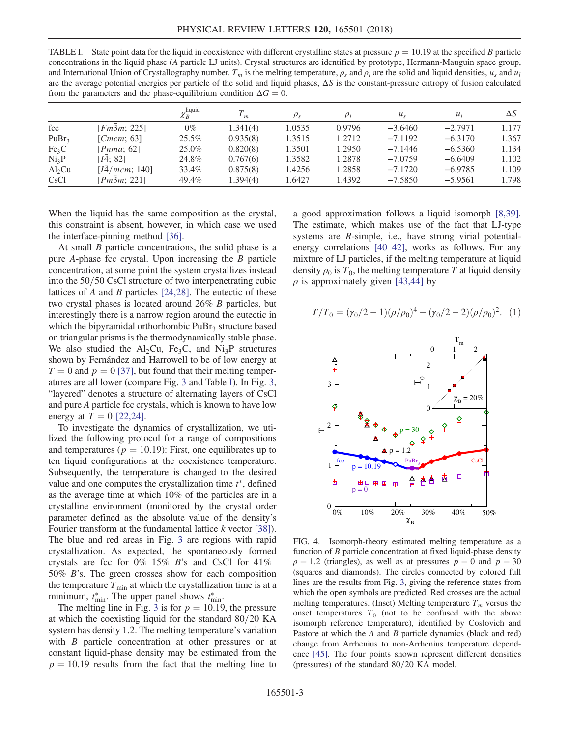<span id="page-2-0"></span>TABLE I. State point data for the liquid in coexistence with different crystalline states at pressure  $p = 10.19$  at the specified B particle concentrations in the liquid phase (A particle LJ units). Crystal structures are identified by prototype, Hermann-Mauguin space group, and International Union of Crystallography number.  $T_m$  is the melting temperature,  $\rho_s$  and  $\rho_l$  are the solid and liquid densities,  $u_s$  and  $u_l$ are the average potential energies per particle of the solid and liquid phases,  $\Delta S$  is the constant-pressure entropy of fusion calculated from the parameters and the phase-equilibrium condition  $\Delta G = 0$ .

|                   |                       | $\chi_B^{\rm liquid}$ | $\mathbf{I}_{m}$ |        | $\rho_I$ | $u_{s}$   | $u_1$     | $\Delta S$ |
|-------------------|-----------------------|-----------------------|------------------|--------|----------|-----------|-----------|------------|
| fcc               | [Fm3m; 225]           | $0\%$                 | 1.341(4)         | 1.0535 | 0.9796   | $-3.6460$ | $-2.7971$ | 1.177      |
| PuBr <sub>3</sub> | [ $Cmcm$ ; 63]        | $25.5\%$              | 0.935(8)         | 1.3515 | 1.2712   | $-7.1192$ | $-6.3170$ | 1.367      |
| Fe <sub>3</sub> C | [Pnma; 62]            | 25.0%                 | 0.820(8)         | 1.3501 | 1.2950   | $-7.1446$ | $-6.5360$ | 1.134      |
| Ni <sub>3</sub> P | [I4; 82]              | 24.8%                 | 0.767(6)         | 1.3582 | 1.2878   | $-7.0759$ | $-6.6409$ | 1.102      |
| $Al_2Cu$          | [I4/mcm; 140]         | 33.4%                 | 0.875(8)         | 1.4256 | 1.2858   | $-7.1720$ | $-6.9785$ | 1.109      |
| CsCl              | [ $Pm\bar{3}m$ ; 221] | 49.4%                 | 1.394(4)         | 1.6427 | 1.4392   | $-7.5850$ | $-5.9561$ | 1.798      |

When the liquid has the same composition as the crystal, this constraint is absent, however, in which case we used the interface-pinning method [\[36\]](#page-4-24).

At small *B* particle concentrations, the solid phase is a pure A-phase fcc crystal. Upon increasing the B particle concentration, at some point the system crystallizes instead into the  $50/50$  CsCl structure of two interpenetrating cubic lattices of A and B particles  $[24,28]$ . The eutectic of these two crystal phases is located around 26% B particles, but interestingly there is a narrow region around the eutectic in which the bipyramidal orthorhombic  $P \cup Br_3$  structure based on triangular prisms is the thermodynamically stable phase. We also studied the  $Al<sub>2</sub>Cu$ , Fe<sub>3</sub>C, and Ni<sub>3</sub>P structures shown by Fernández and Harrowell to be of low energy at  $T = 0$  and  $p = 0$  [\[37\]](#page-4-25), but found that their melting temperatures are all lower (compare Fig. [3](#page-1-2) and Table [I\)](#page-2-0). In Fig. [3](#page-1-2), "layered" denotes a structure of alternating layers of CsCl and pure A particle fcc crystals, which is known to have low energy at  $T = 0$  [\[22,24\].](#page-4-11)

To investigate the dynamics of crystallization, we utilized the following protocol for a range of compositions and temperatures ( $p = 10.19$ ): First, one equilibrates up to ten liquid configurations at the coexistence temperature. Subsequently, the temperature is changed to the desired value and one computes the crystallization time  $t^*$ , defined as the average time at which 10% of the particles are in a crystalline environment (monitored by the crystal order parameter defined as the absolute value of the density's Fourier transform at the fundamental lattice k vector [\[38\]](#page-4-26)). The blue and red areas in Fig. [3](#page-1-2) are regions with rapid crystallization. As expected, the spontaneously formed crystals are fcc for  $0\%$ -15% B's and CsCl for 41%– 50% B's. The green crosses show for each composition the temperature  $T_{\text{min}}$  at which the crystallization time is at a minimum,  $t_{\min}^*$ . The upper panel shows  $t_{\min}^*$ .

The melting line in Fig. [3](#page-1-2) is for  $p = 10.19$ , the pressure at which the coexisting liquid for the standard  $80/20$  KA system has density 1.2. The melting temperature's variation with *B* particle concentration at other pressures or at constant liquid-phase density may be estimated from the  $p = 10.19$  results from the fact that the melting line to a good approximation follows a liquid isomorph [\[8,39\]](#page-4-27). The estimate, which makes use of the fact that LJ-type systems are R-simple, i.e., have strong virial potentialenergy correlations [\[40](#page-4-28)–42], works as follows. For any mixture of LJ particles, if the melting temperature at liquid density  $\rho_0$  is  $T_0$ , the melting temperature T at liquid density  $\rho$  is approximately given [\[43,44\]](#page-4-29) by

<span id="page-2-1"></span>
$$
T/T_0 = (\gamma_0/2 - 1)(\rho/\rho_0)^4 - (\gamma_0/2 - 2)(\rho/\rho_0)^2.
$$
 (1)

<span id="page-2-2"></span>

FIG. 4. Isomorph-theory estimated melting temperature as a function of B particle concentration at fixed liquid-phase density  $\rho = 1.2$  (triangles), as well as at pressures  $p = 0$  and  $p = 30$ (squares and diamonds). The circles connected by colored full lines are the results from Fig. [3,](#page-1-2) giving the reference states from which the open symbols are predicted. Red crosses are the actual melting temperatures. (Inset) Melting temperature  $T_m$  versus the onset temperatures  $T_0$  (not to be confused with the above isomorph reference temperature), identified by Coslovich and Pastore at which the A and B particle dynamics (black and red) change from Arrhenius to non-Arrhenius temperature dependence [\[45\]](#page-4-30). The four points shown represent different densities (pressures) of the standard  $80/20$  KA model.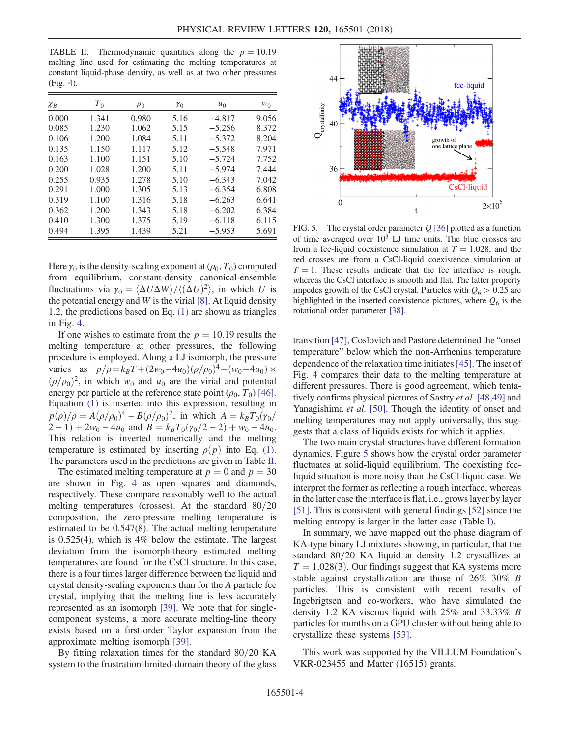<span id="page-3-0"></span>TABLE II. Thermodynamic quantities along the  $p = 10.19$ melting line used for estimating the melting temperatures at constant liquid-phase density, as well as at two other pressures (Fig. [4](#page-2-2)).

| $\chi_B$ | $T_{0}$ | $\rho_0$ | $\gamma_0$ | $u_0$    | $W_0$ |
|----------|---------|----------|------------|----------|-------|
| 0.000    | 1.341   | 0.980    | 5.16       | $-4.817$ | 9.056 |
| 0.085    | 1.230   | 1.062    | 5.15       | $-5.256$ | 8.372 |
| 0.106    | 1.200   | 1.084    | 5.11       | $-5.372$ | 8.204 |
| 0.135    | 1.150   | 1.117    | 5.12       | $-5.548$ | 7.971 |
| 0.163    | 1.100   | 1.151    | 5.10       | $-5.724$ | 7.752 |
| 0.200    | 1.028   | 1.200    | 5.11       | $-5.974$ | 7.444 |
| 0.255    | 0.935   | 1.278    | 5.10       | $-6.343$ | 7.042 |
| 0.291    | 1.000   | 1.305    | 5.13       | $-6.354$ | 6.808 |
| 0.319    | 1.100   | 1.316    | 5.18       | $-6.263$ | 6.641 |
| 0.362    | 1.200   | 1.343    | 5.18       | $-6.202$ | 6.384 |
| 0.410    | 1.300   | 1.375    | 5.19       | $-6.118$ | 6.115 |
| 0.494    | 1.395   | 1.439    | 5.21       | $-5.953$ | 5.691 |

Here  $\gamma_0$  is the density-scaling exponent at  $(\rho_0, T_0)$  computed from equilibrium, constant-density canonical-ensemble fluctuations via  $\gamma_0 = \langle \Delta U \Delta W \rangle / \langle (\Delta U)^2 \rangle$ , in which U is the potential energy and  $W$  is the virial  $[8]$ . At liquid density 1.2, the predictions based on Eq. [\(1\)](#page-2-1) are shown as triangles in Fig. [4](#page-2-2).

If one wishes to estimate from the  $p = 10.19$  results the melting temperature at other pressures, the following procedure is employed. Along a LJ isomorph, the pressure varies as  $p/\rho = k_B T + (2w_0 - 4u_0)(\rho/\rho_0)^4 - (w_0 - 4u_0) \times$  $(\rho/\rho_0)^2$ , in which w<sub>0</sub> and u<sub>0</sub> are the virial and potential energy per particle at the reference state point  $(\rho_0, T_0)$  [\[46\]](#page-4-31). Equation [\(1\)](#page-2-1) is inserted into this expression, resulting in  $p(\rho)/\rho = A(\rho/\rho_0)^4 - B(\rho/\rho_0)^2$ , in which  $A = k_B T_0(\gamma_0/\rho_0)$  $(2-1) + 2w_0 - 4u_0$  and  $B = k_BT_0(\gamma_0/2 - 2) + w_0 - 4u_0$ . This relation is inverted numerically and the melting temperature is estimated by inserting  $\rho(p)$  into Eq. [\(1\)](#page-2-1). The parameters used in the predictions are given in Table [II](#page-3-0).

The estimated melting temperature at  $p = 0$  and  $p = 30$ are shown in Fig. [4](#page-2-2) as open squares and diamonds, respectively. These compare reasonably well to the actual melting temperatures (crosses). At the standard  $80/20$ composition, the zero-pressure melting temperature is estimated to be 0.547(8). The actual melting temperature is 0.525(4), which is 4% below the estimate. The largest deviation from the isomorph-theory estimated melting temperatures are found for the CsCl structure. In this case, there is a four times larger difference between the liquid and crystal density-scaling exponents than for the A particle fcc crystal, implying that the melting line is less accurately represented as an isomorph [\[39\]](#page-4-32). We note that for singlecomponent systems, a more accurate melting-line theory exists based on a first-order Taylor expansion from the approximate melting isomorph [\[39\]](#page-4-32).

By fitting relaxation times for the standard  $80/20$  KA system to the frustration-limited-domain theory of the glass

<span id="page-3-1"></span>

FIG. 5. The crystal order parameter  $Q$  [\[36\]](#page-4-24) plotted as a function of time averaged over  $10<sup>3</sup>$  LJ time units. The blue crosses are from a fcc-liquid coexistence simulation at  $T = 1.028$ , and the red crosses are from a CsCl-liquid coexistence simulation at  $T = 1$ . These results indicate that the fcc interface is rough, whereas the CsCl interface is smooth and flat. The latter property impedes growth of the CsCl crystal. Particles with  $Q_6 > 0.25$  are highlighted in the inserted coexistence pictures, where  $Q_6$  is the rotational order parameter [\[38\].](#page-4-26)

transition [\[47\]](#page-4-33), Coslovich and Pastore determined the "onset temperature" below which the non-Arrhenius temperature dependence of the relaxation time initiates[\[45\]](#page-4-30). The inset of Fig. [4](#page-2-2) compares their data to the melting temperature at different pressures. There is good agreement, which tentatively confirms physical pictures of Sastry et al. [\[48,49\]](#page-4-34) and Yanagishima et al. [\[50\]](#page-4-35). Though the identity of onset and melting temperatures may not apply universally, this suggests that a class of liquids exists for which it applies.

The two main crystal structures have different formation dynamics. Figure [5](#page-3-1) shows how the crystal order parameter fluctuates at solid-liquid equilibrium. The coexisting fccliquid situation is more noisy than the CsCl-liquid case. We interpret the former as reflecting a rough interface, whereas in the latter case the interface is flat, i.e., grows layer by layer [\[51\]](#page-4-36). This is consistent with general findings [\[52\]](#page-4-37) since the melting entropy is larger in the latter case (Table [I\)](#page-2-0).

In summary, we have mapped out the phase diagram of KA-type binary LJ mixtures showing, in particular, that the standard  $80/20$  KA liquid at density 1.2 crystallizes at  $T = 1.028(3)$ . Our findings suggest that KA systems more stable against crystallization are those of 26%–30% B particles. This is consistent with recent results of Ingebrigtsen and co-workers, who have simulated the density 1.2 KA viscous liquid with 25% and 33.33% B particles for months on a GPU cluster without being able to crystallize these systems [\[53\].](#page-4-38)

This work was supported by the VILLUM Foundation's VKR-023455 and Matter (16515) grants.